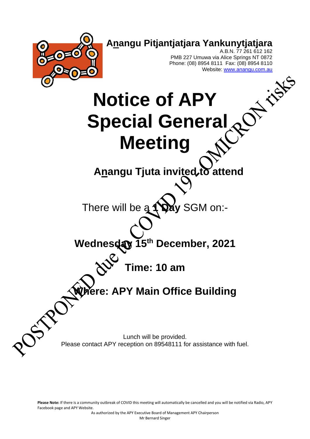

**Please Note:** If there is a community outbreak of COVID this meeting will automatically be cancelled and you will be notified via Radio, APY Facebook page and APY Website.

As authorized by the APY Executive Board of Management APY Chairperson Mr Bernard Singer